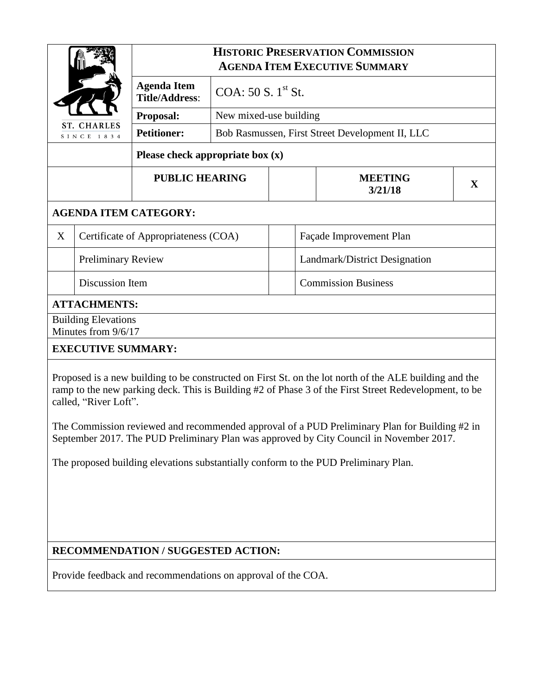| <b>ST. CHARLES</b><br>SINCE 1834                                                                                                                                                                                                                                                                                                                                                                                      |                           | <b>HISTORIC PRESERVATION COMMISSION</b><br><b>AGENDA ITEM EXECUTIVE SUMMARY</b> |                                                                           |                         |                               |                           |   |
|-----------------------------------------------------------------------------------------------------------------------------------------------------------------------------------------------------------------------------------------------------------------------------------------------------------------------------------------------------------------------------------------------------------------------|---------------------------|---------------------------------------------------------------------------------|---------------------------------------------------------------------------|-------------------------|-------------------------------|---------------------------|---|
|                                                                                                                                                                                                                                                                                                                                                                                                                       |                           | <b>Agenda Item</b><br><b>Title/Address:</b>                                     | COA: $50 S. 1st St.$                                                      |                         |                               |                           |   |
|                                                                                                                                                                                                                                                                                                                                                                                                                       |                           | Proposal:                                                                       | New mixed-use building<br>Bob Rasmussen, First Street Development II, LLC |                         |                               |                           |   |
|                                                                                                                                                                                                                                                                                                                                                                                                                       |                           | <b>Petitioner:</b>                                                              |                                                                           |                         |                               |                           |   |
| Please check appropriate box $(x)$                                                                                                                                                                                                                                                                                                                                                                                    |                           |                                                                                 |                                                                           |                         |                               |                           |   |
|                                                                                                                                                                                                                                                                                                                                                                                                                       |                           | <b>PUBLIC HEARING</b>                                                           |                                                                           |                         |                               | <b>MEETING</b><br>3/21/18 | X |
| <b>AGENDA ITEM CATEGORY:</b>                                                                                                                                                                                                                                                                                                                                                                                          |                           |                                                                                 |                                                                           |                         |                               |                           |   |
| X                                                                                                                                                                                                                                                                                                                                                                                                                     |                           | Certificate of Appropriateness (COA)                                            |                                                                           | Façade Improvement Plan |                               |                           |   |
|                                                                                                                                                                                                                                                                                                                                                                                                                       | <b>Preliminary Review</b> |                                                                                 |                                                                           |                         | Landmark/District Designation |                           |   |
|                                                                                                                                                                                                                                                                                                                                                                                                                       | Discussion Item           |                                                                                 |                                                                           |                         | <b>Commission Business</b>    |                           |   |
| <b>ATTACHMENTS:</b>                                                                                                                                                                                                                                                                                                                                                                                                   |                           |                                                                                 |                                                                           |                         |                               |                           |   |
| <b>Building Elevations</b><br>Minutes from 9/6/17                                                                                                                                                                                                                                                                                                                                                                     |                           |                                                                                 |                                                                           |                         |                               |                           |   |
| <b>EXECUTIVE SUMMARY:</b>                                                                                                                                                                                                                                                                                                                                                                                             |                           |                                                                                 |                                                                           |                         |                               |                           |   |
| Proposed is a new building to be constructed on First St. on the lot north of the ALE building and the<br>$\mathbf{1}$ , $\mathbf{1}$ , $\mathbf{1}$ , $\mathbf{1}$ , $\mathbf{1}$ , $\mathbf{1}$ , $\mathbf{1}$ , $\mathbf{1}$ , $\mathbf{1}$ , $\mathbf{1}$ , $\mathbf{1}$ , $\mathbf{1}$ , $\mathbf{1}$ , $\mathbf{1}$ , $\mathbf{1}$ , $\mathbf{1}$ , $\mathbf{1}$ , $\mathbf{1}$ , $\mathbf{1}$ , $\mathbf{1}$ , |                           |                                                                                 |                                                                           |                         |                               |                           |   |

ramp to the new parking deck. This is Building #2 of Phase 3 of the First Street Redevelopment, to be called, "River Loft".

The Commission reviewed and recommended approval of a PUD Preliminary Plan for Building #2 in September 2017. The PUD Preliminary Plan was approved by City Council in November 2017.

The proposed building elevations substantially conform to the PUD Preliminary Plan.

## **RECOMMENDATION / SUGGESTED ACTION:**

Provide feedback and recommendations on approval of the COA.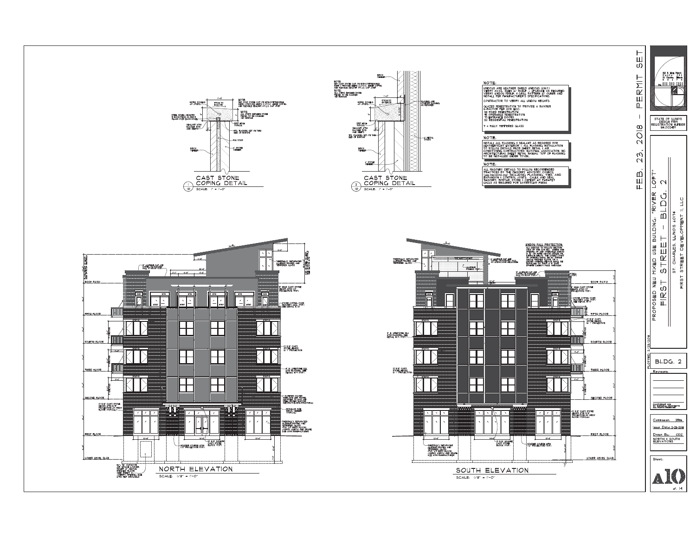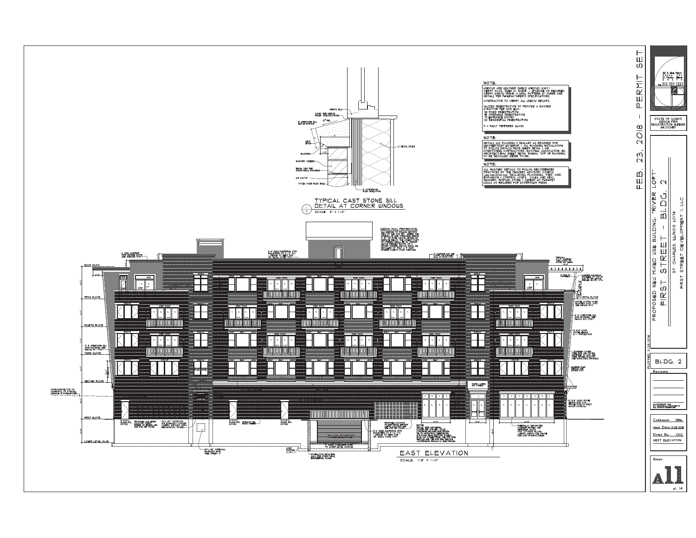